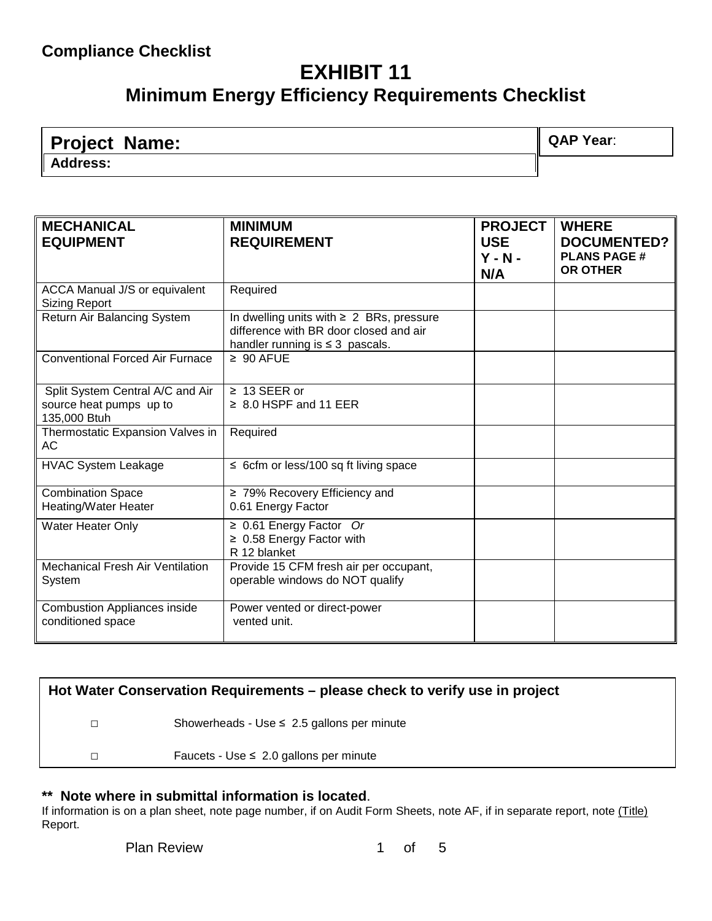## **EXHIBIT 11 Minimum Energy Efficiency Requirements Checklist**

| <b>Project Name:</b> | QAP Year: |
|----------------------|-----------|
| <b>Address:</b>      |           |

| <b>MECHANICAL</b><br><b>EQUIPMENT</b>                                       | <b>MINIMUM</b><br><b>REQUIREMENT</b>                                                                                            | <b>PROJECT</b><br><b>USE</b><br>$Y - N -$<br>N/A | <b>WHERE</b><br><b>DOCUMENTED?</b><br><b>PLANS PAGE#</b><br><b>OR OTHER</b> |
|-----------------------------------------------------------------------------|---------------------------------------------------------------------------------------------------------------------------------|--------------------------------------------------|-----------------------------------------------------------------------------|
| ACCA Manual J/S or equivalent<br><b>Sizing Report</b>                       | Required                                                                                                                        |                                                  |                                                                             |
| Return Air Balancing System                                                 | In dwelling units with $\geq 2$ BRs, pressure<br>difference with BR door closed and air<br>handler running is $\leq$ 3 pascals. |                                                  |                                                                             |
| <b>Conventional Forced Air Furnace</b>                                      | $\geq 90$ AFUE                                                                                                                  |                                                  |                                                                             |
| Split System Central A/C and Air<br>source heat pumps up to<br>135,000 Btuh | $\geq 13$ SEER or<br>$\geq 8.0$ HSPF and 11 EER                                                                                 |                                                  |                                                                             |
| Thermostatic Expansion Valves in<br>AC                                      | Required                                                                                                                        |                                                  |                                                                             |
| <b>HVAC System Leakage</b>                                                  | $\leq$ 6cfm or less/100 sq ft living space                                                                                      |                                                  |                                                                             |
| <b>Combination Space</b><br><b>Heating/Water Heater</b>                     | $\geq$ 79% Recovery Efficiency and<br>0.61 Energy Factor                                                                        |                                                  |                                                                             |
| Water Heater Only                                                           | $\geq 0.61$ Energy Factor Or<br>$\geq$ 0.58 Energy Factor with<br>R 12 blanket                                                  |                                                  |                                                                             |
| <b>Mechanical Fresh Air Ventilation</b><br>System                           | Provide 15 CFM fresh air per occupant,<br>operable windows do NOT qualify                                                       |                                                  |                                                                             |
| <b>Combustion Appliances inside</b><br>conditioned space                    | Power vented or direct-power<br>vented unit.                                                                                    |                                                  |                                                                             |

| Hot Water Conservation Requirements – please check to verify use in project |                                                 |  |
|-----------------------------------------------------------------------------|-------------------------------------------------|--|
| $\Box$                                                                      | Showerheads - Use $\leq 2.5$ gallons per minute |  |
| □                                                                           | Faucets - Use $\leq 2.0$ gallons per minute     |  |
|                                                                             |                                                 |  |

#### **\*\* Note where in submittal information is located**.

If information is on a plan sheet, note page number, if on Audit Form Sheets, note AF, if in separate report, note (Title) Report.

Plan Review 1 of 5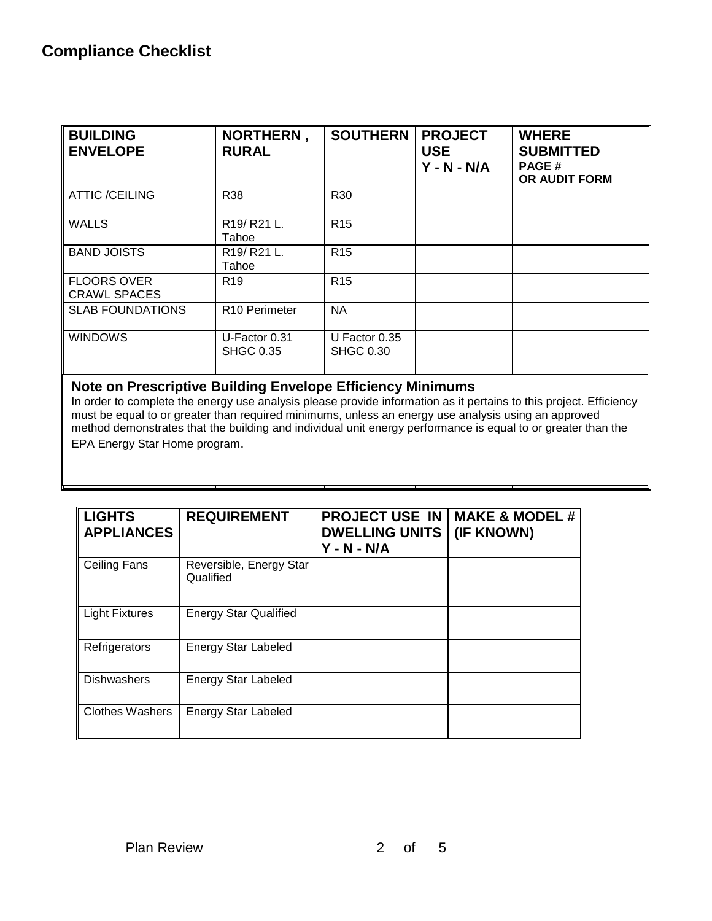| <b>BUILDING</b><br><b>ENVELOPE</b>        | <b>NORTHERN,</b><br><b>RURAL</b>  | <b>SOUTHERN</b>                     | <b>PROJECT</b><br><b>USE</b><br>$Y - N - N/A$ | <b>WHERE</b><br><b>SUBMITTED</b><br><b>PAGE#</b><br><b>OR AUDIT FORM</b> |
|-------------------------------------------|-----------------------------------|-------------------------------------|-----------------------------------------------|--------------------------------------------------------------------------|
| <b>ATTIC /CEILING</b>                     | <b>R38</b>                        | R30                                 |                                               |                                                                          |
| <b>WALLS</b>                              | R19/R21L.<br>Tahoe                | R <sub>15</sub>                     |                                               |                                                                          |
| <b>BAND JOISTS</b>                        | R19/R21L.<br>Tahoe                | R <sub>15</sub>                     |                                               |                                                                          |
| <b>FLOORS OVER</b><br><b>CRAWL SPACES</b> | R <sub>19</sub>                   | R <sub>15</sub>                     |                                               |                                                                          |
| <b>SLAB FOUNDATIONS</b>                   | R <sub>10</sub> Perimeter         | <b>NA</b>                           |                                               |                                                                          |
| <b>WINDOWS</b>                            | U-Factor 0.31<br><b>SHGC 0.35</b> | U Factor $0.35$<br><b>SHGC 0.30</b> |                                               |                                                                          |

#### **Note on Prescriptive Building Envelope Efficiency Minimums**

In order to complete the energy use analysis please provide information as it pertains to this project. Efficiency must be equal to or greater than required minimums, unless an energy use analysis using an approved method demonstrates that the building and individual unit energy performance is equal to or greater than the EPA Energy Star Home program.

| <b>LIGHTS</b><br><b>APPLIANCES</b> | <b>REQUIREMENT</b>                   | <b>PROJECT USE IN</b><br><b>DWELLING UNITS</b><br>$Y - N - N/A$ | <b>MAKE &amp; MODEL #</b><br>(IF KNOWN) |
|------------------------------------|--------------------------------------|-----------------------------------------------------------------|-----------------------------------------|
| Ceiling Fans                       | Reversible, Energy Star<br>Qualified |                                                                 |                                         |
| <b>Light Fixtures</b>              | <b>Energy Star Qualified</b>         |                                                                 |                                         |
| Refrigerators                      | <b>Energy Star Labeled</b>           |                                                                 |                                         |
| <b>Dishwashers</b>                 | <b>Energy Star Labeled</b>           |                                                                 |                                         |
| <b>Clothes Washers</b>             | Energy Star Labeled                  |                                                                 |                                         |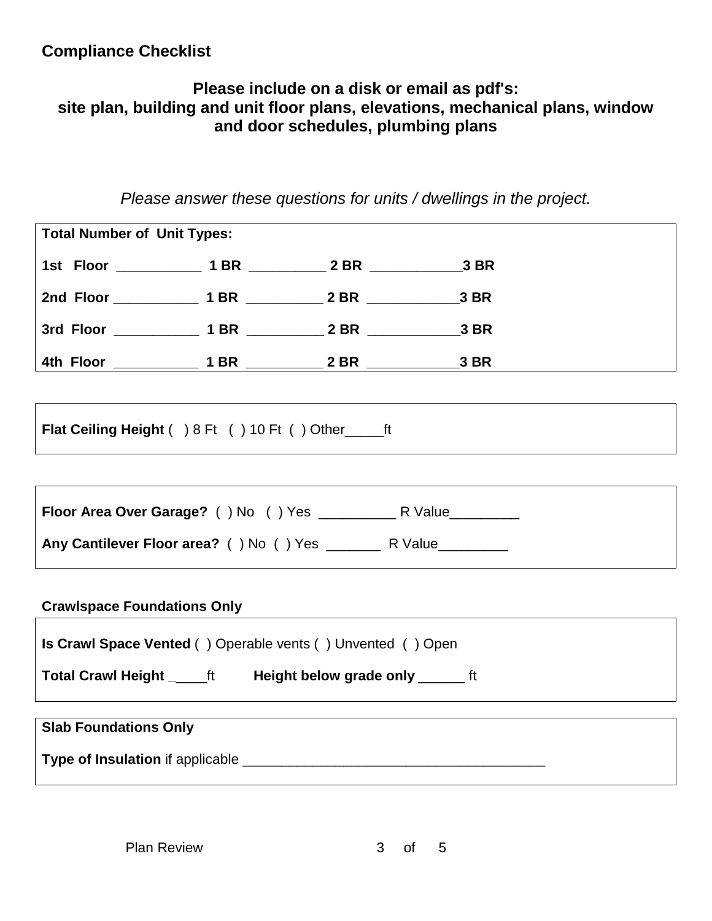#### **Compliance Checklist**

#### **Please include on a disk or email as pdf's: site plan, building and unit floor plans, elevations, mechanical plans, window and door schedules, plumbing plans**

*Please answer these questions for units / dwellings in the project.*

| <b>Total Number of Unit Types:</b>                                    |  |  |  |  |
|-----------------------------------------------------------------------|--|--|--|--|
| 1st Floor ______________ 1 BR ____________ 2 BR _________________3 BR |  |  |  |  |
|                                                                       |  |  |  |  |
| 3rd Floor ______________ 1 BR ____________ 2 BR ________________3 BR  |  |  |  |  |
|                                                                       |  |  |  |  |
|                                                                       |  |  |  |  |
| Flat Ceiling Height () 8 Ft () 10 Ft () Other ________ ft             |  |  |  |  |
|                                                                       |  |  |  |  |
|                                                                       |  |  |  |  |
|                                                                       |  |  |  |  |
|                                                                       |  |  |  |  |
| <b>Crawlspace Foundations Only</b>                                    |  |  |  |  |
| <b>Is Crawl Space Vented ()</b> Operable vents () Unvented () Open    |  |  |  |  |
| Total Crawl Height _______ ft Height below grade only ________ ft     |  |  |  |  |
| <b>Slab Foundations Only</b>                                          |  |  |  |  |
|                                                                       |  |  |  |  |
|                                                                       |  |  |  |  |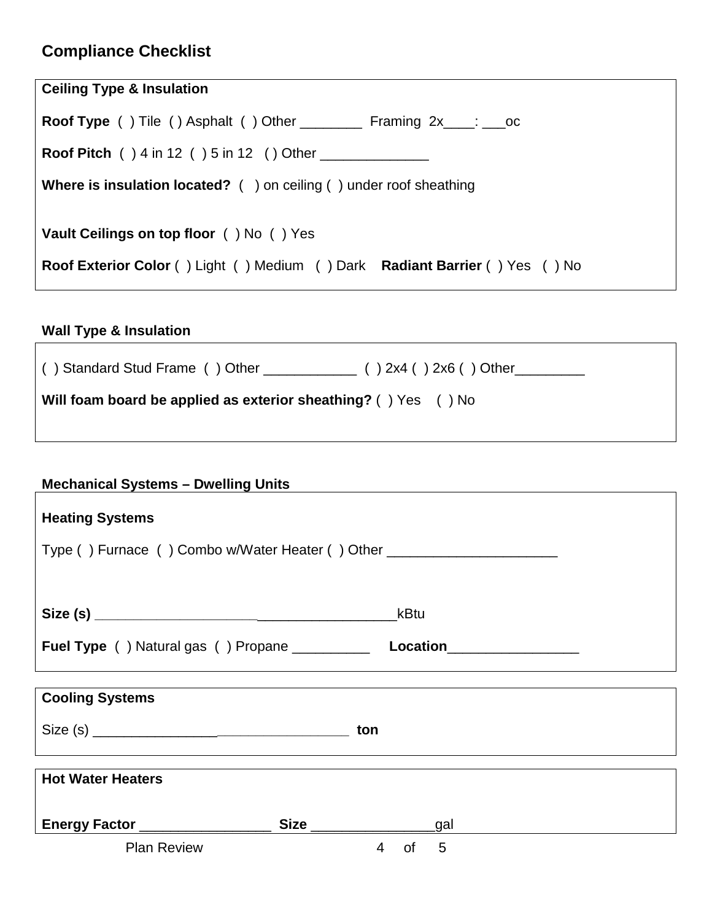## **Compliance Checklist**

| <b>Ceiling Type &amp; Insulation</b>                                                                                           |
|--------------------------------------------------------------------------------------------------------------------------------|
| <b>Roof Type</b> () Tile () Asphalt () Other __________ Framing $2x$ ___: ___oc                                                |
|                                                                                                                                |
| <b>Where is insulation located?</b> $($ $)$ on ceiling $($ $)$ under roof sheathing                                            |
| <b>Vault Ceilings on top floor</b> () No () Yes<br>Roof Exterior Color () Light () Medium () Dark Radiant Barrier () Yes () No |
|                                                                                                                                |

### **Wall Type & Insulation**

 $\overline{1}$ 

| Will foam board be applied as exterior sheathing? () Yes () No |  |
|----------------------------------------------------------------|--|

<u> 1980 - Johann Barn, mars ar breithinn ar chomhair an t-Alban ann an t-Alban ann an t-Alban ann an t-Alban an</u>

٦

#### **Mechanical Systems – Dwelling Units**

| <b>Heating Systems</b>                                                           |                                 |  |
|----------------------------------------------------------------------------------|---------------------------------|--|
| Type () Furnace () Combo w/Water Heater () Other _______________________________ |                                 |  |
|                                                                                  |                                 |  |
|                                                                                  | kBtu                            |  |
|                                                                                  |                                 |  |
|                                                                                  |                                 |  |
| <b>Cooling Systems</b>                                                           |                                 |  |
|                                                                                  | ton                             |  |
|                                                                                  |                                 |  |
| <b>Hot Water Heaters</b>                                                         |                                 |  |
|                                                                                  |                                 |  |
| Energy Factor __________________                                                 | Size __________________<br>_gal |  |
| <b>Plan Review</b>                                                               | $\overline{4}$<br>5<br>of       |  |